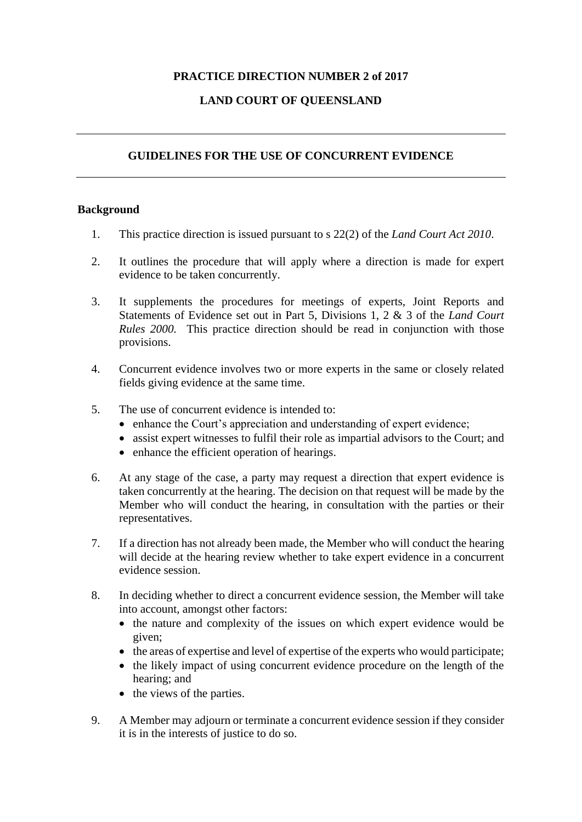## **PRACTICE DIRECTION NUMBER 2 of 2017**

# **LAND COURT OF QUEENSLAND**

## **GUIDELINES FOR THE USE OF CONCURRENT EVIDENCE**

### **Background**

- 1. This practice direction is issued pursuant to s 22(2) of the *Land Court Act 2010*.
- 2. It outlines the procedure that will apply where a direction is made for expert evidence to be taken concurrently.
- 3. It supplements the procedures for meetings of experts, Joint Reports and Statements of Evidence set out in Part 5, Divisions 1, 2 & 3 of the *Land Court Rules 2000.* This practice direction should be read in conjunction with those provisions.
- 4. Concurrent evidence involves two or more experts in the same or closely related fields giving evidence at the same time.
- 5. The use of concurrent evidence is intended to:
	- enhance the Court's appreciation and understanding of expert evidence;
	- assist expert witnesses to fulfil their role as impartial advisors to the Court; and
	- enhance the efficient operation of hearings.
- 6. At any stage of the case, a party may request a direction that expert evidence is taken concurrently at the hearing. The decision on that request will be made by the Member who will conduct the hearing, in consultation with the parties or their representatives.
- 7. If a direction has not already been made, the Member who will conduct the hearing will decide at the hearing review whether to take expert evidence in a concurrent evidence session.
- 8. In deciding whether to direct a concurrent evidence session, the Member will take into account, amongst other factors:
	- the nature and complexity of the issues on which expert evidence would be given;
	- the areas of expertise and level of expertise of the experts who would participate;
	- the likely impact of using concurrent evidence procedure on the length of the hearing; and
	- the views of the parties.
- 9. A Member may adjourn or terminate a concurrent evidence session if they consider it is in the interests of justice to do so.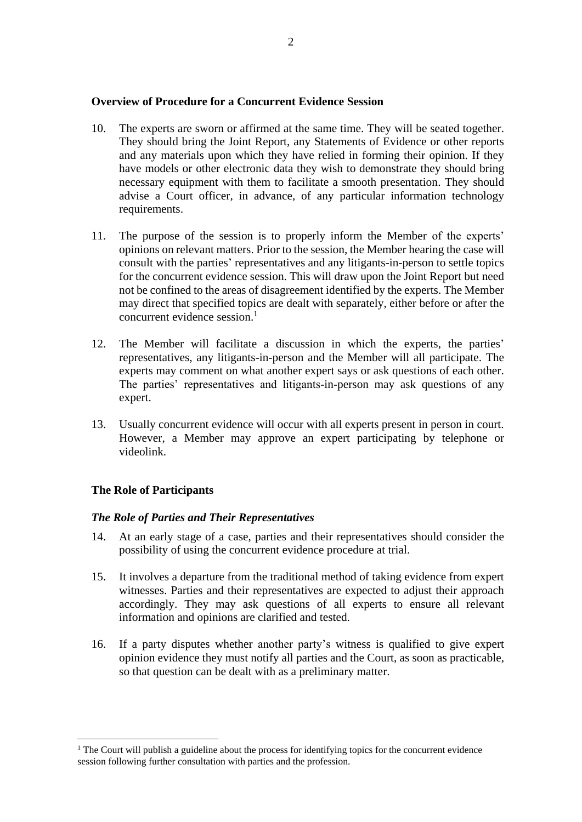#### **Overview of Procedure for a Concurrent Evidence Session**

- 10. The experts are sworn or affirmed at the same time. They will be seated together. They should bring the Joint Report, any Statements of Evidence or other reports and any materials upon which they have relied in forming their opinion. If they have models or other electronic data they wish to demonstrate they should bring necessary equipment with them to facilitate a smooth presentation. They should advise a Court officer, in advance, of any particular information technology requirements.
- 11. The purpose of the session is to properly inform the Member of the experts' opinions on relevant matters. Prior to the session, the Member hearing the case will consult with the parties' representatives and any litigants-in-person to settle topics for the concurrent evidence session. This will draw upon the Joint Report but need not be confined to the areas of disagreement identified by the experts. The Member may direct that specified topics are dealt with separately, either before or after the concurrent evidence session.<sup>1</sup>
- 12. The Member will facilitate a discussion in which the experts, the parties' representatives, any litigants-in-person and the Member will all participate. The experts may comment on what another expert says or ask questions of each other. The parties' representatives and litigants-in-person may ask questions of any expert.
- 13. Usually concurrent evidence will occur with all experts present in person in court. However, a Member may approve an expert participating by telephone or videolink.

## **The Role of Participants**

## *The Role of Parties and Their Representatives*

- 14. At an early stage of a case, parties and their representatives should consider the possibility of using the concurrent evidence procedure at trial.
- 15. It involves a departure from the traditional method of taking evidence from expert witnesses. Parties and their representatives are expected to adjust their approach accordingly. They may ask questions of all experts to ensure all relevant information and opinions are clarified and tested.
- 16. If a party disputes whether another party's witness is qualified to give expert opinion evidence they must notify all parties and the Court, as soon as practicable, so that question can be dealt with as a preliminary matter.

<sup>&</sup>lt;sup>1</sup> The Court will publish a guideline about the process for identifying topics for the concurrent evidence session following further consultation with parties and the profession.